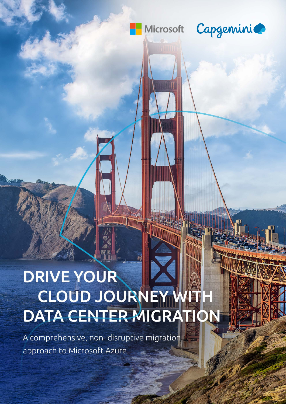

Microsoft | Capgemini

# DRIVE YOUR CLOUD JOURNEY W DATA CENTER MIGRATION

A comprehensive, non-disruptive migration approach to Microsoft Azure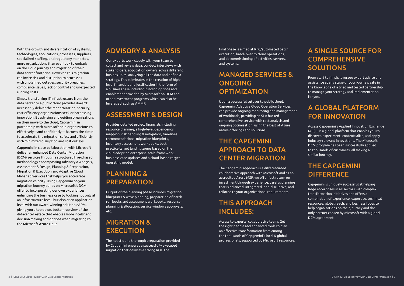With the growth and diversification of systems, technologies, applications, processes, suppliers, specialized staffing, and regulatory mandates, more organizations than ever look to embark on the cloud journey and migration of their data center footprint. However, this migration can invite risk and disruption to processes with unplanned outages, security breaches, compliance issues, lack of control and unexpected running costs.

Simply transferring IT infrastructure from the data center to a public cloud provider doesn't necessarily deliver the modernization, security, cost efficiency organizations seek or harnessing innovation. By advising and guiding organizations on their move to the cloud, Capgemini in partnership with Microsoft help organizations to effectively—and confidently— harness the cloud to accelerate the migration safely and efficiently with minimized disruption and cost outlays.

Capgemini in close collaboration with Microsoft deliver an enhanced Data Center Migration (DCM) services through a structured five-phased methodology encompassing Advisory & Analysis, Assessment & Design, Planning & Preparation, Migration & Execution and Adaptive Cloud Managed Services that helps you accelerate migration velocity. Using Capgemini on your migration journey builds on Microsoft's DCM offer by incorporating our own experiences, enhancing the business case by looking not only at an infrastructure level, but also at an application level with our award-winning solution eAPM, giving you a top down, bottom-up view of the datacenter estate that enables more intelligent decision making and options when migrating to the Microsoft Azure cloud.

# MANAGED SERVICES & ONGOING **OPTIMIZATION**

#### ADVISORY & ANALYSIS

Our experts work closely with your team to collect and review data, conduct interviews with stakeholders, application owners across different busines units, analyzing all the data and define a strategy. This culminates in the creation of highlevel financials and justification in the form of a business case including funding options and enablement provided by Microsoft on DCM and other investment programs which can also be leveraged, such as AMMP.

# A SINGLE SOURCE FOR **COMPREHENSIVE SOLUTIONS**

#### ASSESSMENT & DESIGN

### THE CAPGEMINI **DIFFERENCE**

Provides detailed project financials including resource planning, a high-level dependency mapping, risk handling & mitigation, timelines recommendations, migration blueprints, inventory assessment workbooks, best practice target landing zones based on the cloud adoption enterprise-scale framework, business case updates and a cloud-based target operating model.

# PLANNING & PREPARATION

Output of the planning phase includes migration blueprints & wave planning, preparation of batch run books and assessment workbooks, resource planning & allocation, service windows approvals, etc.

### MIGRATION & EXECUTION

The holistic and thorough preparation provided by Capgemini ensures a successfully executed migration that delivers a strong ROI. The

final phase is aimed at RFC/automated batch execution, hand- over to cloud operations, and decommissioning of activities, servers, and systems.

Upon a successful cutover to public cloud, Capgemini Adaptive Cloud Operation Services can provide ongoing monitoring and management of workloads, providing an SLA backed comprehensive service with cost analysis and ongoing optimisation, using the best of Azure native offerings and solutions.

# THE CAPGEMINI APPROACH TO DATA CENTER MIGRATION

The Capgemini approach is a differentiated collaborative approach with Microsoft and as an accredited Azure MSP, we offer fast return on investment through experience, careful planning that is balanced, integrated, non-disruptive, and tailored to your organizational requirements.

# THIS APPROACH INCLUDES:

Access to experts, collaborative teams Get the right people and enhanced tools to plan an effective transformation from among the thousands of Capgemini's local & global professionals, supported by Microsoft resources. From start to finish, leverage expert advice and assistance at any stage of your journey, safe in the knowledge of a tried and tested partnership to manage your strategy and implementation for you.

# A GLOBAL PLATFORM FOR INNOVATION

Access Capgemini's Applied Innovation Exchange (AIE) – is a global platform that enables you to discover, experiment, contextualize, and apply industry-relevant innovations. The Microsoft DCM program has been successfully applied to thousands of customers, all making a similar journey.

Capgemini is uniquely successful at helping large enterprises in all sectors with complex transformation initiatives and offers a combination of experience, expertise, technical resources, global reach, and business focus to help organizations on their journey and the only partner chosen by Microsoft with a global DCM agreement.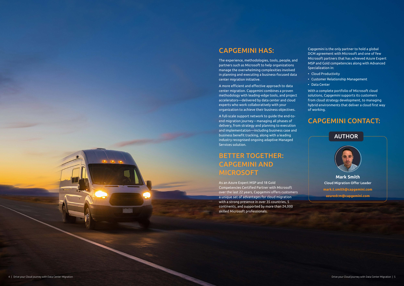#### CAPGEMINI HAS:

The experience, methodologies, tools, people, and partners such as Microsoft to help organizations manage the overwhelming complexities involved in planning and executing a business-focused data center migration initiative.

A more efficient and effective approach to data center migration. Capgemini combines a proven methodology with leading-edge tools, and project accelerators—delivered by data center and cloud experts who work collaboratively with your organization to achieve their business objectives.

A full-scale support network to guide the end-toend migration journey – managing all phases of delivery, from strategy and planning to execution and implementation—including business case and business benefit tracking, along with a leading industry recognised ongoing adaptive Managed Services solution.

# BETTER TOGETHER: CAPGEMINI AND MICROSOFT

As an Azure Expert MSP and 18 Gold Competencies Certified Partner with Microsoft over the last 22 years, Capgemini offers customers a unique set of advantages for cloud migration with a strong presence in over 35 countries, 5 continents, and supported by more than 24,000 skilled Microsoft professionals.

Capgemini is the only partner to hold a global DCM agreement with Microsoft and one of few Microsoft partners that has achieved Azure Expert MSP and Gold competencies along with Advanced Specialization in:

- Cloud Productivity
- Customer Relationship Management
- Data Center

With a complete portfolio of Microsoft cloud solutions, Capgemini supports its customers from cloud strategy development, to managing hybrid environments that deliver a cloud first way of working.

#### CAPGEMINI CONTACT:

**Mark Smith** Cloud Migration Offer Leader **mark.t.smith@capgemini.com azuredcm@capgemini.com**

#### AUTHOR